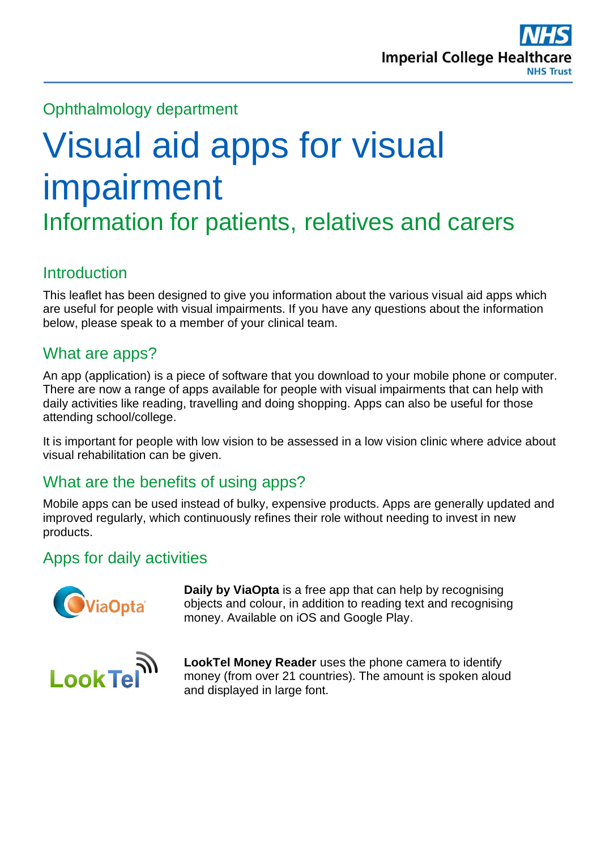

## Ophthalmology department

# Visual aid apps for visual impairment Information for patients, relatives and carers

#### **Introduction**

This leaflet has been designed to give you information about the various visual aid apps which are useful for people with visual impairments. If you have any questions about the information below, please speak to a member of your clinical team.

#### What are apps?

An app (application) is a piece of software that you download to your mobile phone or computer. There are now a range of apps available for people with visual impairments that can help with daily activities like reading, travelling and doing shopping. Apps can also be useful for those attending school/college.

It is important for people with low vision to be assessed in a low vision clinic where advice about visual rehabilitation can be given.

## What are the benefits of using apps?

Mobile apps can be used instead of bulky, expensive products. Apps are generally updated and improved regularly, which continuously refines their role without needing to invest in new products.

#### Apps for daily activities



**Daily by ViaOpta** is a free app that can help by recognising objects and colour, in addition to reading text and recognising money. Available on iOS and Google Play.



**LookTel Money Reader** uses the phone camera to identify money (from over 21 countries). The amount is spoken aloud and displayed in large font.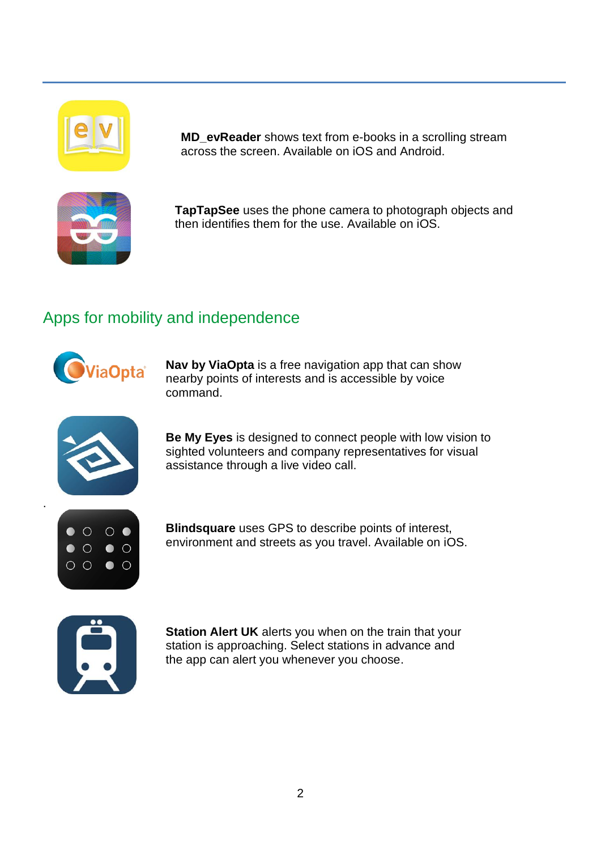

**MD\_evReader** shows text from e-books in a scrolling stream across the screen. Available on iOS and Android.



**TapTapSee** uses the phone camera to photograph objects and then identifies them for the use. Available on iOS.

# Apps for mobility and independence



**Nav by ViaOpta** is a free navigation app that can show nearby points of interests and is accessible by voice command.



**Be My Eyes** is designed to connect people with low vision to sighted volunteers and company representatives for visual assistance through a live video call.



.

**Blindsquare** uses GPS to describe points of interest, environment and streets as you travel. Available on iOS.



**Station Alert UK** alerts you when on the train that your station is approaching. Select stations in advance and the app can alert you whenever you choose.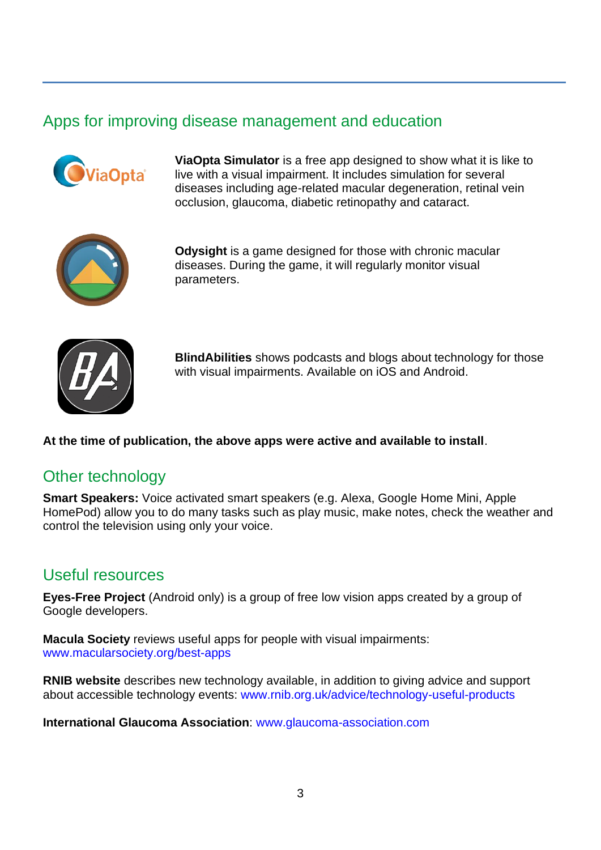#### Apps for improving disease management and education



**ViaOpta Simulator** is a free app designed to show what it is like to live with a visual impairment. It includes simulation for several diseases including age-related macular degeneration, retinal vein occlusion, glaucoma, diabetic retinopathy and cataract.



**Odysight** is a game designed for those with chronic macular diseases. During the game, it will regularly monitor visual parameters.



**BlindAbilities** shows podcasts and blogs about technology for those with visual impairments. Available on iOS and Android.

#### **At the time of publication, the above apps were active and available to install**.

#### Other technology

**Smart Speakers:** Voice activated smart speakers (e.g. Alexa, Google Home Mini, Apple HomePod) allow you to do many tasks such as play music, make notes, check the weather and control the television using only your voice.

#### Useful resources

**Eyes-Free Project** (Android only) is a group of free low vision apps created by a group of Google developers.

**Macula Society** reviews useful apps for people with visual impairments: [www.macularsociety.org/best-apps](http://www.macularsociety.org/best-apps)

**RNIB website** describes new technology available, in addition to giving advice and support about accessible technology events: [www.rnib.org.uk/advice/technology-useful-products](http://www.rnib.org.uk/advice/technology-useful-products)

**International Glaucoma Association**: [www.glaucoma-association.com](http://www.glaucoma-association.com/)